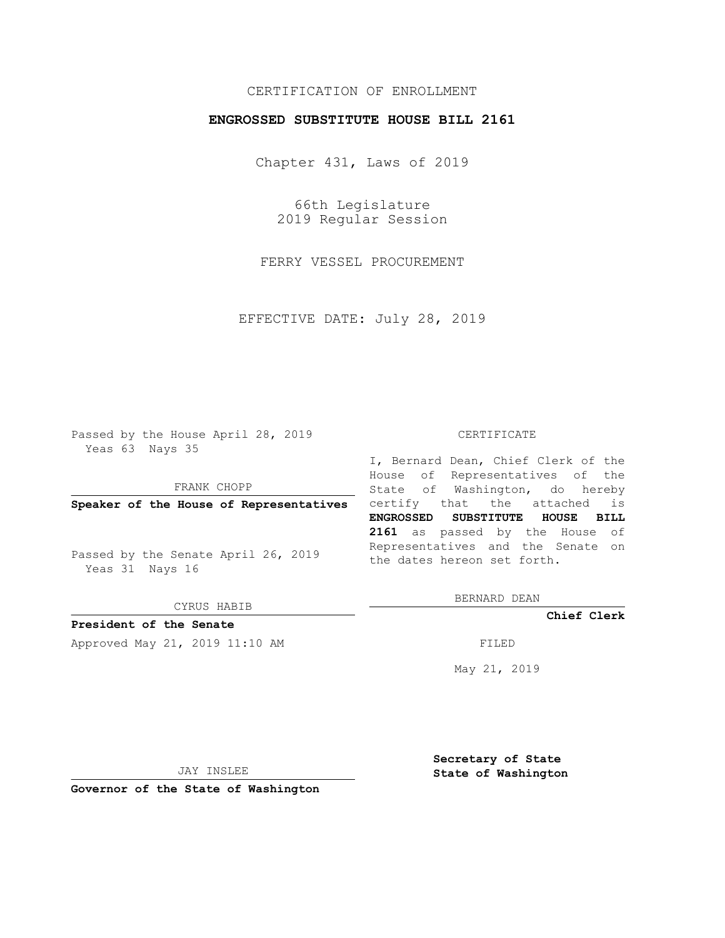## CERTIFICATION OF ENROLLMENT

### **ENGROSSED SUBSTITUTE HOUSE BILL 2161**

Chapter 431, Laws of 2019

66th Legislature 2019 Regular Session

FERRY VESSEL PROCUREMENT

EFFECTIVE DATE: July 28, 2019

Passed by the House April 28, 2019 Yeas 63 Nays 35

FRANK CHOPP

Passed by the Senate April 26, 2019 Yeas 31 Nays 16

CYRUS HABIB

**President of the Senate**

Approved May 21, 2019 11:10 AM FILED

#### CERTIFICATE

**Speaker of the House of Representatives** certify that the attached is I, Bernard Dean, Chief Clerk of the House of Representatives of the State of Washington, do hereby **ENGROSSED SUBSTITUTE HOUSE BILL 2161** as passed by the House of Representatives and the Senate on the dates hereon set forth.

BERNARD DEAN

**Chief Clerk**

May 21, 2019

JAY INSLEE

**Governor of the State of Washington**

**Secretary of State State of Washington**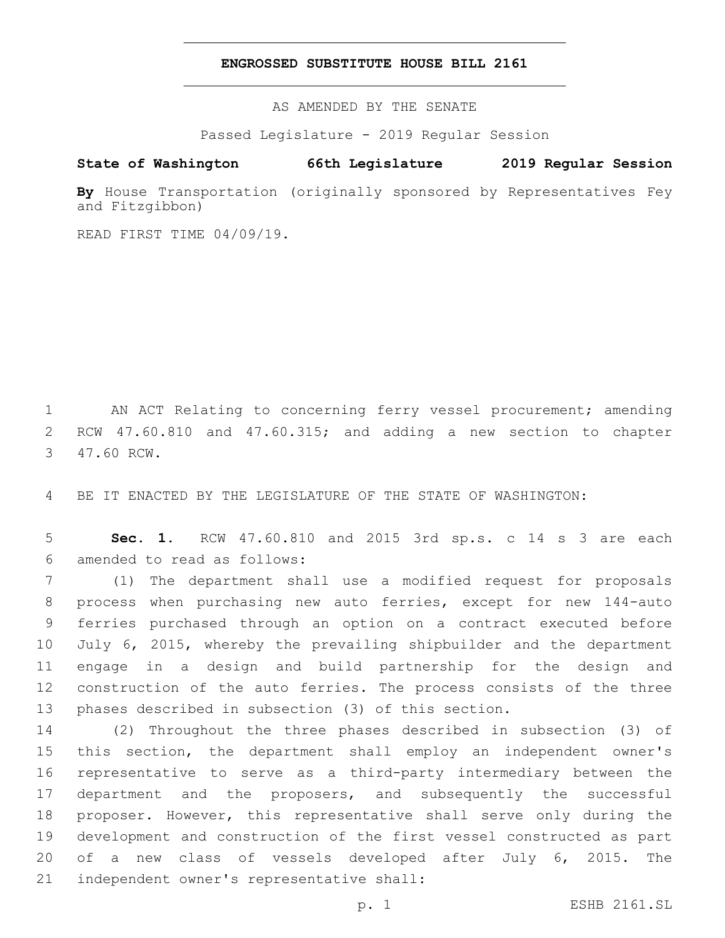### **ENGROSSED SUBSTITUTE HOUSE BILL 2161**

AS AMENDED BY THE SENATE

Passed Legislature - 2019 Regular Session

# **State of Washington 66th Legislature 2019 Regular Session**

**By** House Transportation (originally sponsored by Representatives Fey and Fitzgibbon)

READ FIRST TIME 04/09/19.

1 AN ACT Relating to concerning ferry vessel procurement; amending 2 RCW 47.60.810 and 47.60.315; and adding a new section to chapter 3 47.60 RCW.

4 BE IT ENACTED BY THE LEGISLATURE OF THE STATE OF WASHINGTON:

5 **Sec. 1.** RCW 47.60.810 and 2015 3rd sp.s. c 14 s 3 are each amended to read as follows:6

 (1) The department shall use a modified request for proposals process when purchasing new auto ferries, except for new 144-auto ferries purchased through an option on a contract executed before July 6, 2015, whereby the prevailing shipbuilder and the department engage in a design and build partnership for the design and construction of the auto ferries. The process consists of the three phases described in subsection (3) of this section.

 (2) Throughout the three phases described in subsection (3) of this section, the department shall employ an independent owner's representative to serve as a third-party intermediary between the department and the proposers, and subsequently the successful proposer. However, this representative shall serve only during the development and construction of the first vessel constructed as part of a new class of vessels developed after July 6, 2015. The 21 independent owner's representative shall: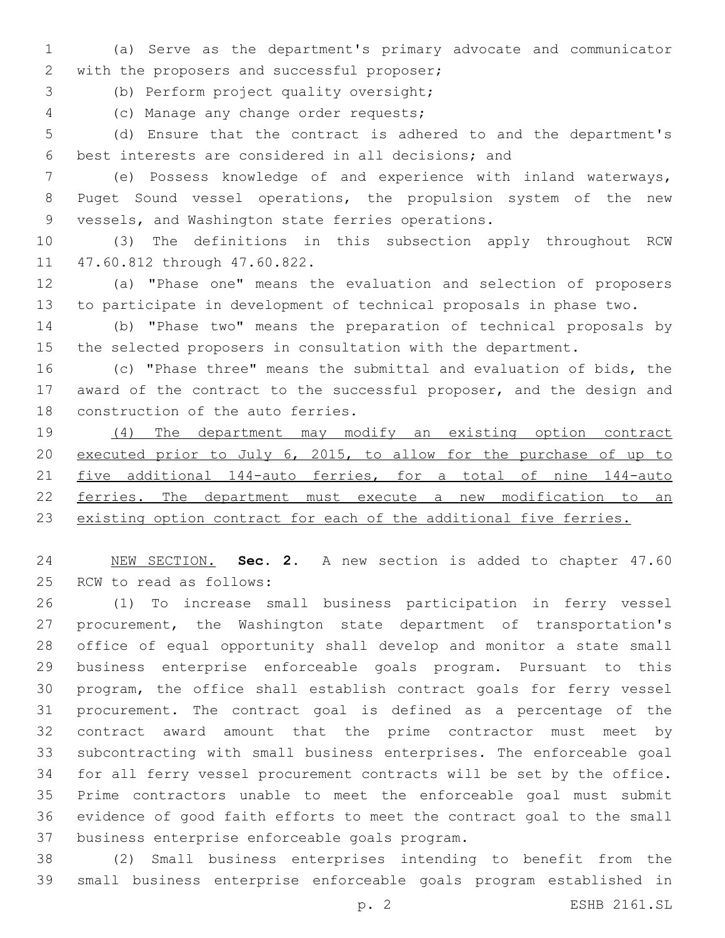(a) Serve as the department's primary advocate and communicator 2 with the proposers and successful proposer;

3 (b) Perform project quality oversight;

(c) Manage any change order requests;4

 (d) Ensure that the contract is adhered to and the department's best interests are considered in all decisions; and

 (e) Possess knowledge of and experience with inland waterways, Puget Sound vessel operations, the propulsion system of the new 9 vessels, and Washington state ferries operations.

 (3) The definitions in this subsection apply throughout RCW 11 47.60.812 through 47.60.822.

 (a) "Phase one" means the evaluation and selection of proposers to participate in development of technical proposals in phase two.

 (b) "Phase two" means the preparation of technical proposals by the selected proposers in consultation with the department.

 (c) "Phase three" means the submittal and evaluation of bids, the award of the contract to the successful proposer, and the design and 18 construction of the auto ferries.

 (4) The department may modify an existing option contract executed prior to July 6, 2015, to allow for the purchase of up to five additional 144-auto ferries, for a total of nine 144-auto ferries. The department must execute a new modification to an 23 existing option contract for each of the additional five ferries.

 NEW SECTION. **Sec. 2.** A new section is added to chapter 47.60 25 RCW to read as follows:

 (1) To increase small business participation in ferry vessel procurement, the Washington state department of transportation's office of equal opportunity shall develop and monitor a state small business enterprise enforceable goals program. Pursuant to this program, the office shall establish contract goals for ferry vessel procurement. The contract goal is defined as a percentage of the contract award amount that the prime contractor must meet by subcontracting with small business enterprises. The enforceable goal for all ferry vessel procurement contracts will be set by the office. Prime contractors unable to meet the enforceable goal must submit evidence of good faith efforts to meet the contract goal to the small 37 business enterprise enforceable goals program.

 (2) Small business enterprises intending to benefit from the small business enterprise enforceable goals program established in

p. 2 ESHB 2161.SL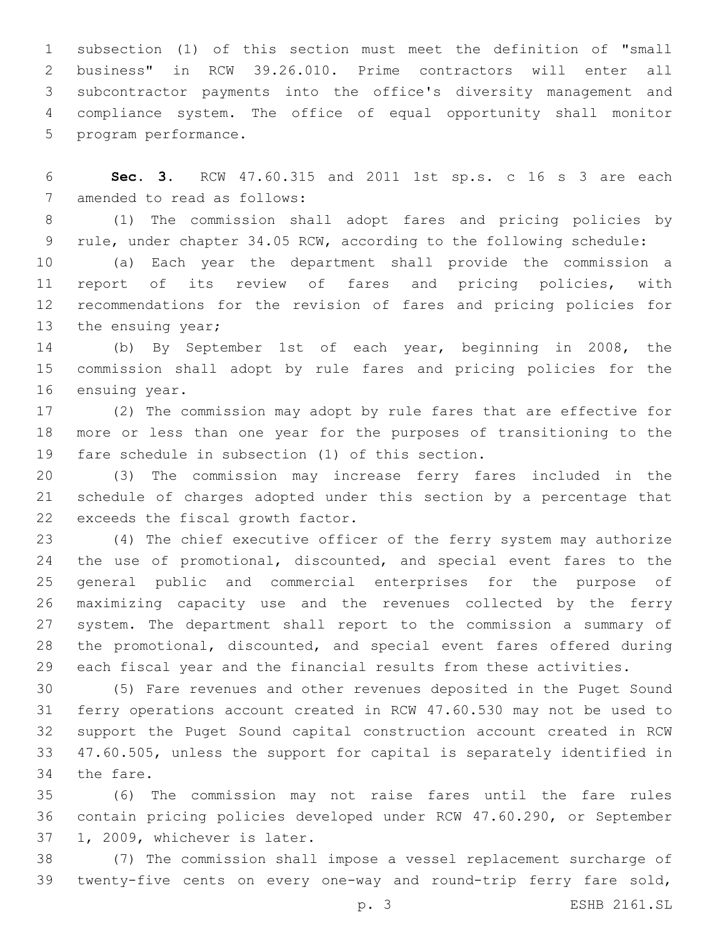subsection (1) of this section must meet the definition of "small business" in RCW 39.26.010. Prime contractors will enter all subcontractor payments into the office's diversity management and compliance system. The office of equal opportunity shall monitor 5 program performance.

 **Sec. 3.** RCW 47.60.315 and 2011 1st sp.s. c 16 s 3 are each 7 amended to read as follows:

 (1) The commission shall adopt fares and pricing policies by rule, under chapter 34.05 RCW, according to the following schedule:

 (a) Each year the department shall provide the commission a report of its review of fares and pricing policies, with recommendations for the revision of fares and pricing policies for 13 the ensuing year;

 (b) By September 1st of each year, beginning in 2008, the commission shall adopt by rule fares and pricing policies for the 16 ensuing year.

 (2) The commission may adopt by rule fares that are effective for more or less than one year for the purposes of transitioning to the 19 fare schedule in subsection (1) of this section.

 (3) The commission may increase ferry fares included in the schedule of charges adopted under this section by a percentage that 22 exceeds the fiscal growth factor.

 (4) The chief executive officer of the ferry system may authorize 24 the use of promotional, discounted, and special event fares to the general public and commercial enterprises for the purpose of maximizing capacity use and the revenues collected by the ferry system. The department shall report to the commission a summary of the promotional, discounted, and special event fares offered during each fiscal year and the financial results from these activities.

 (5) Fare revenues and other revenues deposited in the Puget Sound ferry operations account created in RCW 47.60.530 may not be used to support the Puget Sound capital construction account created in RCW 47.60.505, unless the support for capital is separately identified in 34 the fare.

 (6) The commission may not raise fares until the fare rules contain pricing policies developed under RCW 47.60.290, or September 37 1, 2009, whichever is later.

 (7) The commission shall impose a vessel replacement surcharge of twenty-five cents on every one-way and round-trip ferry fare sold,

p. 3 ESHB 2161.SL